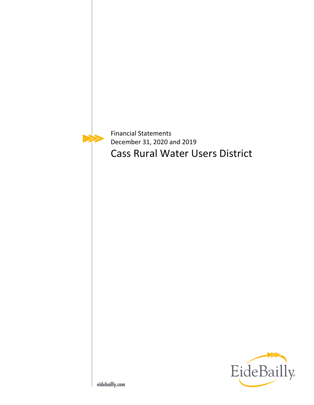Financial Statements December 31, 2020 and 2019 Cass Rural Water Users District

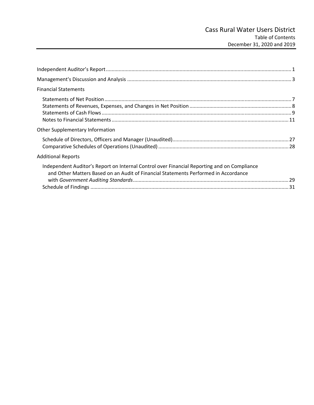| <b>Financial Statements</b>                                                                                                                                                        |  |
|------------------------------------------------------------------------------------------------------------------------------------------------------------------------------------|--|
|                                                                                                                                                                                    |  |
| Other Supplementary Information                                                                                                                                                    |  |
|                                                                                                                                                                                    |  |
| <b>Additional Reports</b>                                                                                                                                                          |  |
| Independent Auditor's Report on Internal Control over Financial Reporting and on Compliance<br>and Other Matters Based on an Audit of Financial Statements Performed in Accordance |  |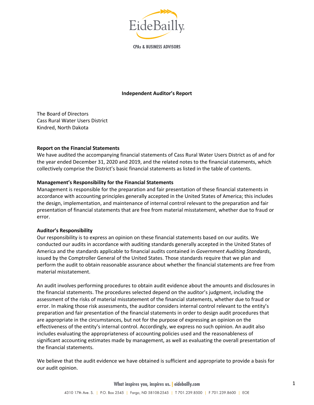

**CPAs & BUSINESS ADVISORS** 

#### **Independent Auditor's Report**

The Board of Directors Cass Rural Water Users District Kindred, North Dakota

#### **Report on the Financial Statements**

We have audited the accompanying financial statements of Cass Rural Water Users District as of and for the year ended December 31, 2020 and 2019, and the related notes to the financial statements, which collectively comprise the District's basic financial statements as listed in the table of contents.

#### **Management's Responsibility for the Financial Statements**

Management is responsible for the preparation and fair presentation of these financial statements in accordance with accounting principles generally accepted in the United States of America; this includes the design, implementation, and maintenance of internal control relevant to the preparation and fair presentation of financial statements that are free from material misstatement, whether due to fraud or error.

#### **Auditor's Responsibility**

Our responsibility is to express an opinion on these financial statements based on our audits. We conducted our audits in accordance with auditing standards generally accepted in the United States of America and the standards applicable to financial audits contained in *Government Auditing Standards*, issued by the Comptroller General of the United States. Those standards require that we plan and perform the audit to obtain reasonable assurance about whether the financial statements are free from material misstatement.

An audit involves performing procedures to obtain audit evidence about the amounts and disclosures in the financial statements. The procedures selected depend on the auditor's judgment, including the assessment of the risks of material misstatement of the financial statements, whether due to fraud or error. In making those risk assessments, the auditor considers internal control relevant to the entity's preparation and fair presentation of the financial statements in order to design audit procedures that are appropriate in the circumstances, but not for the purpose of expressing an opinion on the effectiveness of the entity's internal control. Accordingly, we express no such opinion. An audit also includes evaluating the appropriateness of accounting policies used and the reasonableness of significant accounting estimates made by management, as well as evaluating the overall presentation of the financial statements.

We believe that the audit evidence we have obtained is sufficient and appropriate to provide a basis for our audit opinion.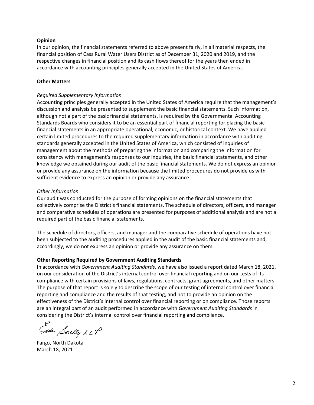#### **Opinion**

In our opinion, the financial statements referred to above present fairly, in all material respects, the financial position of Cass Rural Water Users District as of December 31, 2020 and 2019, and the respective changes in financial position and its cash flows thereof for the years then ended in accordance with accounting principles generally accepted in the United States of America.

## **Other Matters**

#### *Required Supplementary Information*

Accounting principles generally accepted in the United States of America require that the management's discussion and analysis be presented to supplement the basic financial statements. Such information, although not a part of the basic financial statements, is required by the Governmental Accounting Standards Boards who considers it to be an essential part of financial reporting for placing the basic financial statements in an appropriate operational, economic, or historical context. We have applied certain limited procedures to the required supplementary information in accordance with auditing standards generally accepted in the United States of America, which consisted of inquiries of management about the methods of preparing the information and comparing the information for consistency with management's responses to our inquiries, the basic financial statements, and other knowledge we obtained during our audit of the basic financial statements. We do not express an opinion or provide any assurance on the information because the limited procedures do not provide us with sufficient evidence to express an opinion or provide any assurance.

#### *Other Information*

Our audit was conducted for the purpose of forming opinions on the financial statements that collectively comprise the District's financial statements. The schedule of directors, officers, and manager and comparative schedules of operations are presented for purposes of additional analysis and are not a required part of the basic financial statements.

The schedule of directors, officers, and manager and the comparative schedule of operations have not been subjected to the auditing procedures applied in the audit of the basic financial statements and, accordingly, we do not express an opinion or provide any assurance on them.

#### **Other Reporting Required by Government Auditing Standards**

In accordance with *Government Auditing Standards*, we have also issued a report dated March 18, 2021, on our consideration of the District's internal control over financial reporting and on our tests of its compliance with certain provisions of laws, regulations, contracts, grant agreements, and other matters. The purpose of that report is solely to describe the scope of our testing of internal control over financial reporting and compliance and the results of that testing, and not to provide an opinion on the effectiveness of the District's internal control over financial reporting or on compliance. Those reports are an integral part of an audit performed in accordance with *Government Auditing Standards* in considering the District's internal control over financial reporting and compliance.

Gade Saelly LLP

Fargo, North Dakota March 18, 2021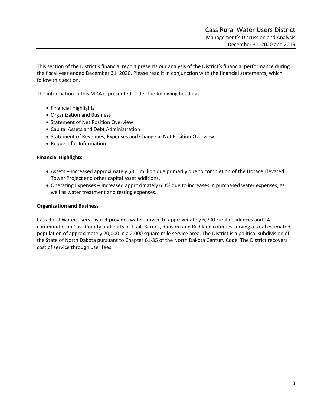This section of the District's financial report presents our analysis of the District's financial performance during the fiscal year ended December 31, 2020. Please read it in conjunction with the financial statements, which follow this section.

The information in this MDA is presented under the following headings:

- Financial Highlights
- Organization and Business
- Statement of Net Position Overview
- Capital Assets and Debt Administration
- Statement of Revenues, Expenses and Change in Net Position Overview
- Request for Information

## **Financial Highlights**

- Assets Increased approximately \$8.0 million due primarily due to completion of the Horace Elevated Tower Project and other capital asset additions.
- Operating Expenses Increased approximately 6.3% due to increases in purchased water expenses, as well as water treatment and testing expenses.

#### **Organization and Business**

Cass Rural Water Users District provides water service to approximately 6,700 rural residences and 14 communities in Cass County and parts of Trail, Barnes, Ransom and Richland counties serving a total estimated population of approximately 20,000 in a 2,000 square mile service area. The District is a political subdivision of the State of North Dakota pursuant to Chapter 61‐35 of the North Dakota Century Code. The District recovers cost of service through user fees.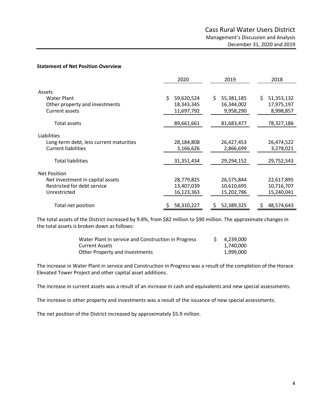#### **Statement of Net Position Overview**

|                                                                                                                  | 2020                                         | 2019                                         | 2018                                         |
|------------------------------------------------------------------------------------------------------------------|----------------------------------------------|----------------------------------------------|----------------------------------------------|
| Assets<br>Water Plant<br>Other property and investments<br>Current assets                                        | \$<br>59,620,524<br>18,343,345<br>11,697,792 | 55,381,185<br>\$.<br>16,344,002<br>9,958,290 | \$.<br>51,353,132<br>17,975,197<br>8,998,857 |
| Total assets                                                                                                     | 89,661,661                                   | 81,683,477                                   | 78,327,186                                   |
| Liabilities<br>Long-term debt, less current maturities<br><b>Current liabilities</b><br><b>Total liabilities</b> | 28,184,808<br>3,166,626<br>31,351,434        | 26,427,453<br>2,866,699<br>29,294,152        | 26,474,522<br>3,278,021<br>29,752,543        |
| <b>Net Position</b><br>Net investment in capital assets<br>Restricted for debt service<br>Unrestricted           | 28,779,825<br>13,407,039<br>16,123,363       | 26,575,844<br>10,610,695<br>15,202,786       | 22,617,895<br>10,716,707<br>15,240,041       |
| Total net position                                                                                               | 58,310,227                                   | 52,389,325<br>S                              | 48,574,643                                   |

The total assets of the District increased by 9.8%, from \$82 million to \$90 million. The approximate changes in the total assets is broken down as follows:

| Water Plant in service and Construction in Progress | 4,239,000 |
|-----------------------------------------------------|-----------|
| <b>Current Assets</b>                               | 1.740.000 |
| Other Property and Investments                      | 1.999.000 |

The increase in Water Plant in service and Construction in Progress was a result of the completion of the Horace Elevated Tower Project and other capital asset additions.

The increase in current assets was a result of an increase in cash and equivalents and new special assessments.

The increase in other property and investments was a result of the issuance of new special assessments.

The net position of the District increased by approximately \$5.9 million.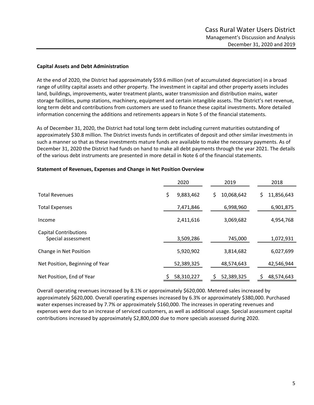## **Capital Assets and Debt Administration**

At the end of 2020, the District had approximately \$59.6 million (net of accumulated depreciation) in a broad range of utility capital assets and other property. The investment in capital and other property assets includes land, buildings, improvements, water treatment plants, water transmission and distribution mains, water storage facilities, pump stations, machinery, equipment and certain intangible assets. The District's net revenue, long term debt and contributions from customers are used to finance these capital investments. More detailed information concerning the additions and retirements appears in Note 5 of the financial statements.

As of December 31, 2020, the District had total long term debt including current maturities outstanding of approximately \$30.8 million. The District invests funds in certificates of deposit and other similar investments in such a manner so that as these investments mature funds are available to make the necessary payments. As of December 31, 2020 the District had funds on hand to make all debt payments through the year 2021. The details of the various debt instruments are presented in more detail in Note 6 of the financial statements.

|                                                    | 2020            | 2019              | 2018             |
|----------------------------------------------------|-----------------|-------------------|------------------|
| <b>Total Revenues</b>                              | \$<br>9,883,462 | 10,068,642<br>\$. | 11,856,643<br>\$ |
| <b>Total Expenses</b>                              | 7,471,846       | 6,998,960         | 6,901,875        |
| Income                                             | 2,411,616       | 3,069,682         | 4,954,768        |
| <b>Capital Contributions</b><br>Special assessment | 3,509,286       | 745,000           | 1,072,931        |
| Change in Net Position                             | 5,920,902       | 3,814,682         | 6,027,699        |
| Net Position, Beginning of Year                    | 52,389,325      | 48,574,643        | 42,546,944       |
| Net Position, End of Year                          | 58,310,227      | 52,389,325        | 48,574,643       |

#### **Statement of Revenues, Expenses and Change in Net Position Overview**

Overall operating revenues increased by 8.1% or approximately \$620,000. Metered sales increased by approximately \$620,000. Overall operating expenses increased by 6.3% or approximately \$380,000. Purchased water expenses increased by 7.7% or approximately \$160,000. The increases in operating revenues and expenses were due to an increase of serviced customers, as well as additional usage. Special assessment capital contributions increased by approximately \$2,800,000 due to more specials assessed during 2020.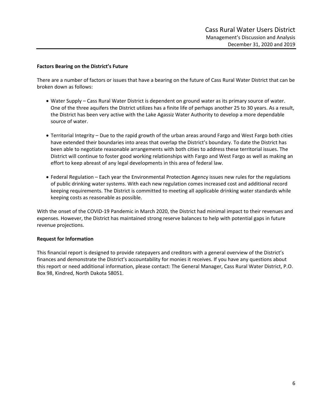#### **Factors Bearing on the District's Future**

There are a number of factors or issues that have a bearing on the future of Cass Rural Water District that can be broken down as follows:

- Water Supply Cass Rural Water District is dependent on ground water as its primary source of water. One of the three aquifers the District utilizes has a finite life of perhaps another 25 to 30 years. As a result, the District has been very active with the Lake Agassiz Water Authority to develop a more dependable source of water.
- Territorial Integrity Due to the rapid growth of the urban areas around Fargo and West Fargo both cities have extended their boundaries into areas that overlap the District's boundary. To date the District has been able to negotiate reasonable arrangements with both cities to address these territorial issues. The District will continue to foster good working relationships with Fargo and West Fargo as well as making an effort to keep abreast of any legal developments in this area of federal law.
- Federal Regulation Each year the Environmental Protection Agency issues new rules for the regulations of public drinking water systems. With each new regulation comes increased cost and additional record keeping requirements. The District is committed to meeting all applicable drinking water standards while keeping costs as reasonable as possible.

With the onset of the COVID‐19 Pandemic in March 2020, the District had minimal impact to their revenues and expenses. However, the District has maintained strong reserve balances to help with potential gaps in future revenue projections.

## **Request for Information**

This financial report is designed to provide ratepayers and creditors with a general overview of the District's finances and demonstrate the District's accountability for monies it receives. If you have any questions about this report or need additional information, please contact: The General Manager, Cass Rural Water District, P.O. Box 98, Kindred, North Dakota 58051.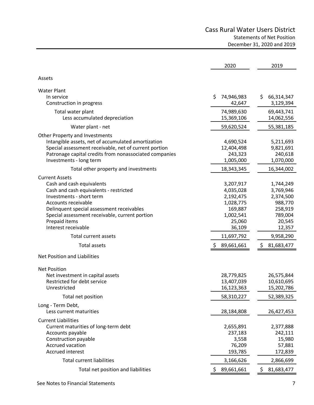# Cass Rural Water Users District Statements of Net Position December 31, 2020 and 2019

|                                                        | 2020             | 2019             |
|--------------------------------------------------------|------------------|------------------|
| Assets                                                 |                  |                  |
|                                                        |                  |                  |
| <b>Water Plant</b><br>In service                       | \$<br>74,946,983 | \$<br>66,314,347 |
| Construction in progress                               | 42,647           | 3,129,394        |
|                                                        |                  |                  |
| Total water plant                                      | 74,989,630       | 69,443,741       |
| Less accumulated depreciation                          | 15,369,106       | 14,062,556       |
| Water plant - net                                      | 59,620,524       | 55,381,185       |
| Other Property and Investments                         |                  |                  |
| Intangible assets, net of accumulated amortization     | 4,690,524        | 5,211,693        |
| Special assessment receivable, net of current portion  | 12,404,498       | 9,821,691        |
| Patronage capital credits from nonassociated companies | 243,323          | 240,618          |
| Investments - long term                                | 1,005,000        | 1,070,000        |
| Total other property and investments                   | 18,343,345       | 16,344,002       |
| <b>Current Assets</b>                                  |                  |                  |
| Cash and cash equivalents                              | 3,207,917        | 1,744,249        |
| Cash and cash equivalents - restricted                 | 4,035,028        | 3,769,946        |
| Investments - short term                               | 2,192,475        | 2,374,500        |
| Accounts receivable                                    | 1,028,775        | 988,770          |
| Delinquent special assessment receivables              | 169,887          | 258,919          |
| Special assessment receivable, current portion         | 1,002,541        | 789,004          |
| Prepaid items                                          | 25,060           | 20,545           |
| Interest receivable                                    | 36,109           | 12,357           |
| <b>Total current assets</b>                            | 11,697,792       | 9,958,290        |
| <b>Total assets</b>                                    | 89,661,661       | 81,683,477<br>S. |
| <b>Net Position and Liabilities</b>                    |                  |                  |
| <b>Net Position</b>                                    |                  |                  |
| Net investment in capital assets                       | 28,779,825       | 26,575,844       |
| Restricted for debt service                            | 13,407,039       | 10,610,695       |
| Unrestricted                                           | 16,123,363       | 15,202,786       |
| Total net position                                     | 58,310,227       | 52,389,325       |
| Long - Term Debt,                                      |                  |                  |
| Less current maturities                                | 28,184,808       | 26,427,453       |
| <b>Current Liabilities</b>                             |                  |                  |
| Current maturities of long-term debt                   | 2,655,891        | 2,377,888        |
| Accounts payable                                       | 237,183          | 242,111          |
| Construction payable                                   | 3,558            | 15,980           |
| <b>Accrued vacation</b>                                | 76,209           | 57,881           |
| <b>Accrued interest</b>                                | 193,785          | 172,839          |
| <b>Total current liabilities</b>                       | 3,166,626        | 2,866,699        |
| Total net position and liabilities                     | 89,661,661       | 81,683,477<br>\$ |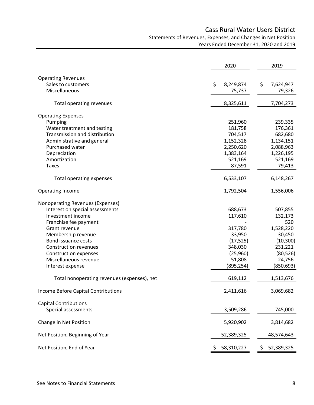# Cass Rural Water Users District Statements of Revenues, Expenses, and Changes in Net Position Years Ended December 31, 2020 and 2019

|                                             | 2020            | 2019             |
|---------------------------------------------|-----------------|------------------|
| <b>Operating Revenues</b>                   |                 |                  |
| Sales to customers                          | \$<br>8,249,874 | \$<br>7,624,947  |
| Miscellaneous                               | 75,737          | 79,326           |
| Total operating revenues                    | 8,325,611       | 7,704,273        |
| <b>Operating Expenses</b>                   |                 |                  |
| Pumping                                     | 251,960         | 239,335          |
| Water treatment and testing                 | 181,758         | 176,361          |
| Transmission and distribution               | 704,517         | 682,680          |
| Administrative and general                  | 1,152,328       | 1,134,151        |
| Purchased water                             | 2,250,620       | 2,088,963        |
| Depreciation                                | 1,383,164       | 1,226,195        |
| Amortization                                | 521,169         | 521,169          |
| <b>Taxes</b>                                | 87,591          | 79,413           |
| <b>Total operating expenses</b>             | 6,533,107       | 6,148,267        |
| Operating Income                            | 1,792,504       | 1,556,006        |
| Nonoperating Revenues (Expenses)            |                 |                  |
| Interest on special assessments             | 688,673         | 507,855          |
| Investment income                           | 117,610         | 132,173          |
| Franchise fee payment                       |                 | 520              |
| Grant revenue                               | 317,780         | 1,528,220        |
| Membership revenue                          | 33,950          | 30,450           |
| Bond issuance costs                         | (17, 525)       | (10, 300)        |
| <b>Construction revenues</b>                | 348,030         | 231,221          |
| <b>Construction expenses</b>                | (25,960)        | (80, 526)        |
| Miscellaneous revenue                       | 51,808          | 24,756           |
| Interest expense                            | (895, 254)      | (850, 693)       |
| Total nonoperating revenues (expenses), net | 619,112         | 1,513,676        |
| Income Before Capital Contributions         | 2,411,616       | 3,069,682        |
|                                             |                 |                  |
| <b>Capital Contributions</b>                |                 |                  |
| Special assessments                         | 3,509,286       | 745,000          |
| Change in Net Position                      | 5,920,902       | 3,814,682        |
| Net Position, Beginning of Year             | 52,389,325      | 48,574,643       |
| Net Position, End of Year                   | 58,310,227      | 52,389,325<br>Ş. |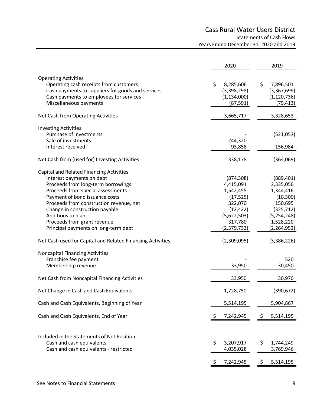# Cass Rural Water Users District Statements of Cash Flows Years Ended December 31, 2020 and 2019

|                                                                                                                                                                                                                                                                                                                                                              | 2020                                                                                                               | 2019                                                                                                                      |
|--------------------------------------------------------------------------------------------------------------------------------------------------------------------------------------------------------------------------------------------------------------------------------------------------------------------------------------------------------------|--------------------------------------------------------------------------------------------------------------------|---------------------------------------------------------------------------------------------------------------------------|
| <b>Operating Activities</b><br>Operating cash receipts from customers<br>Cash payments to suppliers for goods and services<br>Cash payments to employees for services<br>Miscellaneous payments                                                                                                                                                              | \$<br>8,285,606<br>(3,398,298)<br>(1, 134, 000)<br>(87, 591)                                                       | \$<br>7,896,501<br>(3,367,699)<br>(1, 120, 736)<br>(79, 413)                                                              |
| Net Cash from Operating Activities                                                                                                                                                                                                                                                                                                                           | 3,665,717                                                                                                          | 3,328,653                                                                                                                 |
| <b>Investing Activities</b><br>Purchase of investments<br>Sale of investments<br>Interest received                                                                                                                                                                                                                                                           | 244,320<br>93,858                                                                                                  | (521,053)<br>156,984                                                                                                      |
| Net Cash from (used for) Investing Activities                                                                                                                                                                                                                                                                                                                | 338,178                                                                                                            | (364,069)                                                                                                                 |
| Capital and Related Financing Activities<br>Interest payments on debt<br>Proceeds from long-term borrowings<br>Proceeds from special assessments<br>Payment of bond issuance costs<br>Proceeds from construction revenue, net<br>Change in construction payable<br>Additions to plant<br>Proceeds from grant revenue<br>Principal payments on long-term debt | (874, 308)<br>4,415,091<br>1,542,455<br>(17, 525)<br>322,070<br>(12, 422)<br>(5,622,503)<br>317,780<br>(2,379,733) | (889, 401)<br>2,335,056<br>1,344,416<br>(10, 300)<br>150,695<br>(325, 712)<br>(5, 254, 248)<br>1,528,220<br>(2, 264, 952) |
| Net Cash used for Capital and Related Financing Activities                                                                                                                                                                                                                                                                                                   | (2,309,095)                                                                                                        | (3,386,226)                                                                                                               |
| <b>Noncapital Financing Activities</b><br>Franchise fee payment<br>Membership revenue                                                                                                                                                                                                                                                                        | 33,950                                                                                                             | 520<br>30,450                                                                                                             |
| Net Cash from Noncapital Financing Activities                                                                                                                                                                                                                                                                                                                | 33,950                                                                                                             | 30,970                                                                                                                    |
| Net Change in Cash and Cash Equivalents                                                                                                                                                                                                                                                                                                                      | 1,728,750                                                                                                          | (390, 672)                                                                                                                |
| Cash and Cash Equivalents, Beginning of Year                                                                                                                                                                                                                                                                                                                 | 5,514,195                                                                                                          | 5,904,867                                                                                                                 |
| Cash and Cash Equivalents, End of Year                                                                                                                                                                                                                                                                                                                       | \$<br>7,242,945                                                                                                    | \$<br>5,514,195                                                                                                           |
| Included in the Statements of Net Position<br>Cash and cash equivalents<br>Cash and cash equivalents - restricted                                                                                                                                                                                                                                            | \$<br>3,207,917<br>4,035,028<br>7,242,945                                                                          | \$<br>1,744,249<br>3,769,946<br>5,514,195<br>Ş                                                                            |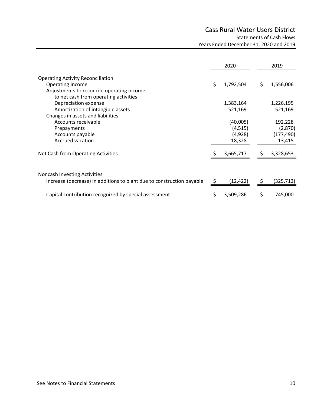# Cass Rural Water Users District Statements of Cash Flows Years Ended December 31, 2020 and 2019

|                                                                                                                                                    | 2020                                      |    | 2019                                       |
|----------------------------------------------------------------------------------------------------------------------------------------------------|-------------------------------------------|----|--------------------------------------------|
| <b>Operating Activity Reconciliation</b><br>Operating income<br>Adjustments to reconcile operating income<br>to net cash from operating activities | \$<br>1,792,504                           | \$ | 1,556,006                                  |
| Depreciation expense<br>Amortization of intangible assets<br>Changes in assets and liabilities                                                     | 1,383,164<br>521,169                      |    | 1,226,195<br>521,169                       |
| Accounts receivable<br>Prepayments<br>Accounts payable<br>Accrued vacation                                                                         | (40,005)<br>(4, 515)<br>(4,928)<br>18,328 |    | 192,228<br>(2,870)<br>(177, 490)<br>13,415 |
| Net Cash from Operating Activities                                                                                                                 | 3,665,717                                 |    | 3,328,653                                  |
| <b>Noncash Investing Activities</b><br>Increase (decrease) in additions to plant due to construction payable                                       | (12, 422)                                 |    | (325, 712)                                 |
| Capital contribution recognized by special assessment                                                                                              | 3,509,286                                 |    | 745,000                                    |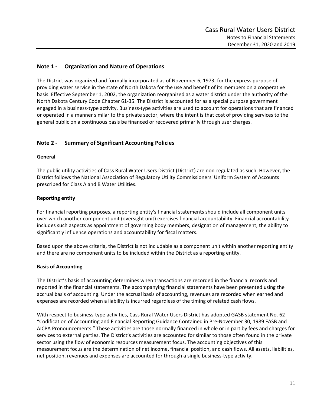# **Note 1 ‐ Organization and Nature of Operations**

The District was organized and formally incorporated as of November 6, 1973, for the express purpose of providing water service in the state of North Dakota for the use and benefit of its members on a cooperative basis. Effective September 1, 2002, the organization reorganized as a water district under the authority of the North Dakota Century Code Chapter 61‐35. The District is accounted for as a special purpose government engaged in a business‐type activity. Business‐type activities are used to account for operations that are financed or operated in a manner similar to the private sector, where the intent is that cost of providing services to the general public on a continuous basis be financed or recovered primarily through user charges.

# **Note 2 ‐ Summary of Significant Accounting Policies**

## **General**

The public utility activities of Cass Rural Water Users District (District) are non‐regulated as such. However, the District follows the National Association of Regulatory Utility Commissioners' Uniform System of Accounts prescribed for Class A and B Water Utilities.

# **Reporting entity**

For financial reporting purposes, a reporting entity's financial statements should include all component units over which another component unit (oversight unit) exercises financial accountability. Financial accountability includes such aspects as appointment of governing body members, designation of management, the ability to significantly influence operations and accountability for fiscal matters.

Based upon the above criteria, the District is not includable as a component unit within another reporting entity and there are no component units to be included within the District as a reporting entity.

## **Basis of Accounting**

The District's basis of accounting determines when transactions are recorded in the financial records and reported in the financial statements. The accompanying financial statements have been presented using the accrual basis of accounting. Under the accrual basis of accounting, revenues are recorded when earned and expenses are recorded when a liability is incurred regardless of the timing of related cash flows.

With respect to business‐type activities, Cass Rural Water Users District has adopted GASB statement No. 62 "Codification of Accounting and Financial Reporting Guidance Contained in Pre‐November 30, 1989 FASB and AICPA Pronouncements." These activities are those normally financed in whole or in part by fees and charges for services to external parties. The District's activities are accounted for similar to those often found in the private sector using the flow of economic resources measurement focus. The accounting objectives of this measurement focus are the determination of net income, financial position, and cash flows. All assets, liabilities, net position, revenues and expenses are accounted for through a single business‐type activity.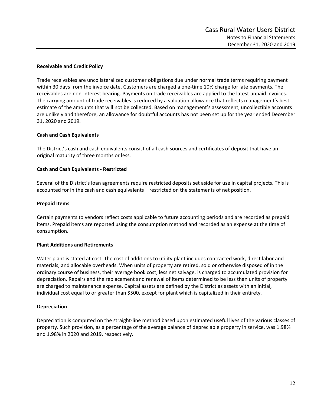# **Receivable and Credit Policy**

Trade receivables are uncollateralized customer obligations due under normal trade terms requiring payment within 30 days from the invoice date. Customers are charged a one-time 10% charge for late payments. The receivables are non‐interest bearing. Payments on trade receivables are applied to the latest unpaid invoices. The carrying amount of trade receivables is reduced by a valuation allowance that reflects management's best estimate of the amounts that will not be collected. Based on management's assessment, uncollectible accounts are unlikely and therefore, an allowance for doubtful accounts has not been set up for the year ended December 31, 2020 and 2019.

# **Cash and Cash Equivalents**

The District's cash and cash equivalents consist of all cash sources and certificates of deposit that have an original maturity of three months or less.

# **Cash and Cash Equivalents ‐ Restricted**

Several of the District's loan agreements require restricted deposits set aside for use in capital projects. This is accounted for in the cash and cash equivalents – restricted on the statements of net position.

## **Prepaid Items**

Certain payments to vendors reflect costs applicable to future accounting periods and are recorded as prepaid items. Prepaid items are reported using the consumption method and recorded as an expense at the time of consumption.

## **Plant Additions and Retirements**

Water plant is stated at cost. The cost of additions to utility plant includes contracted work, direct labor and materials, and allocable overheads. When units of property are retired, sold or otherwise disposed of in the ordinary course of business, their average book cost, less net salvage, is charged to accumulated provision for depreciation. Repairs and the replacement and renewal of items determined to be less than units of property are charged to maintenance expense. Capital assets are defined by the District as assets with an initial, individual cost equal to or greater than \$500, except for plant which is capitalized in their entirety.

## **Depreciation**

Depreciation is computed on the straight‐line method based upon estimated useful lives of the various classes of property. Such provision, as a percentage of the average balance of depreciable property in service, was 1.98% and 1.98% in 2020 and 2019, respectively.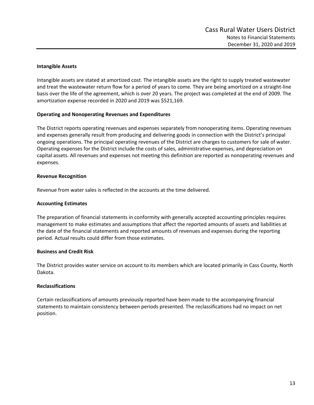## **Intangible Assets**

Intangible assets are stated at amortized cost. The intangible assets are the right to supply treated wastewater and treat the wastewater return flow for a period of years to come. They are being amortized on a straight‐line basis over the life of the agreement, which is over 20 years. The project was completed at the end of 2009. The amortization expense recorded in 2020 and 2019 was \$521,169.

# **Operating and Nonoperating Revenues and Expenditures**

The District reports operating revenues and expenses separately from nonoperating items. Operating revenues and expenses generally result from producing and delivering goods in connection with the District's principal ongoing operations. The principal operating revenues of the District are charges to customers for sale of water. Operating expenses for the District include the costs of sales, administrative expenses, and depreciation on capital assets. All revenues and expenses not meeting this definition are reported as nonoperating revenues and expenses.

# **Revenue Recognition**

Revenue from water sales is reflected in the accounts at the time delivered.

## **Accounting Estimates**

The preparation of financial statements in conformity with generally accepted accounting principles requires management to make estimates and assumptions that affect the reported amounts of assets and liabilities at the date of the financial statements and reported amounts of revenues and expenses during the reporting period. Actual results could differ from those estimates.

## **Business and Credit Risk**

The District provides water service on account to its members which are located primarily in Cass County, North Dakota.

## **Reclassifications**

Certain reclassifications of amounts previously reported have been made to the accompanying financial statements to maintain consistency between periods presented. The reclassifications had no impact on net position.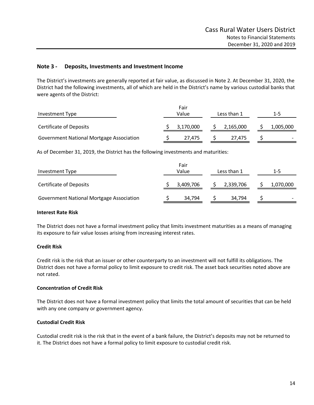# **Note 3 ‐ Deposits, Investments and Investment Income**

The District's investments are generally reported at fair value, as discussed in Note 2. At December 31, 2020, the District had the following investments, all of which are held in the District's name by various custodial banks that were agents of the District:

| Investment Type                                 | Fair<br>Value | Less than 1 | 1-5                      |  |  |
|-------------------------------------------------|---------------|-------------|--------------------------|--|--|
| <b>Certificate of Deposits</b>                  | 3,170,000     | 2,165,000   | 1,005,000                |  |  |
| <b>Government National Mortgage Association</b> | 27.475        | 27.475      | $\overline{\phantom{0}}$ |  |  |

As of December 31, 2019, the District has the following investments and maturities:

| Investment Type                                 | Fair<br>Value | Less than 1 | 1-5                      |
|-------------------------------------------------|---------------|-------------|--------------------------|
| <b>Certificate of Deposits</b>                  | 3,409,706     | 2,339,706   | 1,070,000                |
| <b>Government National Mortgage Association</b> | 34,794        | 34,794      | $\overline{\phantom{0}}$ |

## **Interest Rate Risk**

The District does not have a formal investment policy that limits investment maturities as a means of managing its exposure to fair value losses arising from increasing interest rates.

## **Credit Risk**

Credit risk is the risk that an issuer or other counterparty to an investment will not fulfill its obligations. The District does not have a formal policy to limit exposure to credit risk. The asset back securities noted above are not rated.

## **Concentration of Credit Risk**

The District does not have a formal investment policy that limits the total amount of securities that can be held with any one company or government agency.

# **Custodial Credit Risk**

Custodial credit risk is the risk that in the event of a bank failure, the District's deposits may not be returned to it. The District does not have a formal policy to limit exposure to custodial credit risk.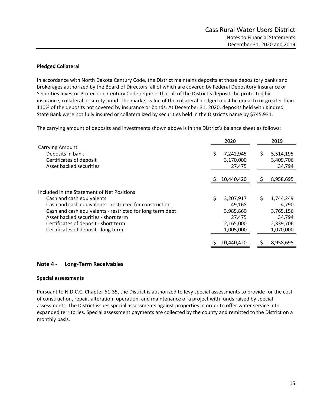## **Pledged Collateral**

In accordance with North Dakota Century Code, the District maintains deposits at those depository banks and brokerages authorized by the Board of Directors, all of which are covered by Federal Depository Insurance or Securities Investor Protection. Century Code requires that all of the District's deposits be protected by insurance, collateral or surety bond. The market value of the collateral pledged must be equal to or greater than 110% of the deposits not covered by insurance or bonds. At December 31, 2020, deposits held with Kindred State Bank were not fully insured or collateralized by securities held in the District's name by \$745,931.

The carrying amount of deposits and investments shown above is in the District's balance sheet as follows:

|                                                                                                                                                                                                                                                                          | 2020                                                   |                        | 2019                                                                |
|--------------------------------------------------------------------------------------------------------------------------------------------------------------------------------------------------------------------------------------------------------------------------|--------------------------------------------------------|------------------------|---------------------------------------------------------------------|
| <b>Carrying Amount</b><br>Deposits in bank<br>Certificates of deposit<br>Asset backed securities                                                                                                                                                                         | 7,242,945<br>\$<br>3,170,000                           | \$<br>27,475           | 5,514,195<br>3,409,706<br>34,794                                    |
|                                                                                                                                                                                                                                                                          | 10,440,420                                             | S                      | 8,958,695                                                           |
| Included in the Statement of Net Positions                                                                                                                                                                                                                               |                                                        |                        |                                                                     |
| Cash and cash equivalents<br>Cash and cash equivalents - restricted for construction<br>Cash and cash equivalents - restricted for long term debt<br>Asset backed securities - short term<br>Certificates of deposit - short term<br>Certificates of deposit - long term | Ś.<br>3,207,917<br>3,985,860<br>2,165,000<br>1,005,000 | \$<br>49,168<br>27,475 | 1,744,249<br>4,790<br>3,765,156<br>34,794<br>2,339,706<br>1,070,000 |
|                                                                                                                                                                                                                                                                          | 10,440,420                                             |                        | 8,958,695                                                           |

## **Note 4 ‐ Long‐Term Receivables**

## **Special assessments**

Pursuant to N.D.C.C. Chapter 61‐35, the District is authorized to levy special assessments to provide for the cost of construction, repair, alteration, operation, and maintenance of a project with funds raised by special assessments. The District issues special assessments against properties in order to offer water service into expanded territories. Special assessment payments are collected by the county and remitted to the District on a monthly basis.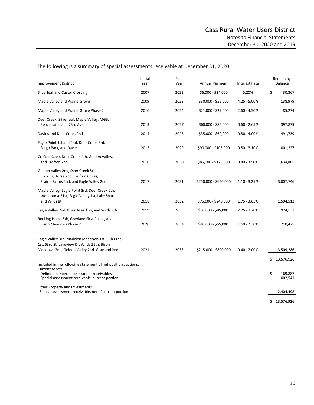The following is a summary of special assessments receivable at December 31, 2020:

| Improvement District                                                                                                                             | Initial<br>Year | Final<br>Year | Annual Payment        | <b>Interest Rate</b> | Remaining<br>Balance       |
|--------------------------------------------------------------------------------------------------------------------------------------------------|-----------------|---------------|-----------------------|----------------------|----------------------------|
| <b>Silverleaf and Custer Crossing</b>                                                                                                            | 2007            | 2022          | \$6,000 - \$24,000    | 5.20%                | \$<br>30,367               |
| Maple Valley and Prairie Grove                                                                                                                   | 2009            | 2023          | \$30,000 - \$55,000   | $4.25 - 5.00\%$      | 138,979                    |
| Maple Valley and Prairie Grove Phase 2                                                                                                           | 2010            | 2024          | \$21,000 - \$27,000   | $2.60 - 4.50%$       | 85,274                     |
| Deer Creek, Silverleaf, Maple Valley, MGB,<br>Beach Lane, and 73rd Ave                                                                           | 2013            | 2027          | \$60,000 - \$85,000   | $0.60 - 2.65%$       | 397,879                    |
| Davies and Deer Creek 2nd                                                                                                                        | 2014            | 2028          | \$35,000 - \$60,000   | $0.80 - 4.00\%$      | 491,739                    |
| Eagle Point 1st and 2nd, Deer Creek 3rd,<br>Fargo Park, and Davies                                                                               | 2015            | 2029          | \$90,000 - \$105,000  | $0.80 - 3.10%$       | 1,001,327                  |
| Crofton Cove, Deer Creek 4th, Golden Valley,<br>and Crofton 2nd                                                                                  | 2016            | 2030          | \$85,000 - \$175,000  | $0.80 - 3.50%$       | 1,634,805                  |
| Golden Valley 2nd, Deer Creek 5th,<br>Rocking Horse 2nd, Crofton Coves,<br>Prairie Farms 2nd, and Eagle Valley 2nd                               | 2017            | 2031          | \$250,000 - \$650,000 | $1.10 - 3.25%$       | 3,007,746                  |
| Maple Valley, Eagle Point 3rd, Deer Creek 6th,<br>Woodhurst 31st, Eagle Valley 1st, Lake Shure,<br>and Wilds 8th                                 | 2018            | 2032          | \$75,000 - \$240,000  | $1.75 - 3.65%$       | 1,594,512                  |
| Eagle Valley 2nd, Bison Meadow, and Wilds 9th                                                                                                    | 2019            | 2033          | \$60,000 - \$85,000   | $2.25 - 3.70%$       | 974,537                    |
| Rocking Horse 5th, Grayland First Phase, and<br><b>Bison Meadows Phase 2</b>                                                                     | 2020            | 2034          | \$40,000 - \$55,000   | $1.60 - 2.30%$       | 710,475                    |
| Eagle Valley 3rd, Madelyn Meadows 1st, Cub Creek<br>1st, 63rd St, Lakeview Dr, Wilds 11th, Bison<br>Meadows 2nd, Golden Valley 2nd, Grayland 2nd | 2021            | 2035          | \$215,000 - \$800,000 | $0.40 - 2.00\%$      | 3,509,286                  |
| Included in the following statement of net position captions:                                                                                    |                 |               |                       |                      | \$<br>13,576,926           |
| <b>Current Assets</b><br>Delinquent special assessment receivables<br>Special assessment receivable, current portion                             |                 |               |                       |                      | \$<br>169,887<br>1,002,541 |
| Other Property and Investments<br>Special assessment receivable, net of current portion                                                          |                 |               |                       |                      | 12,404,498                 |
|                                                                                                                                                  |                 |               |                       |                      | \$13,576,926               |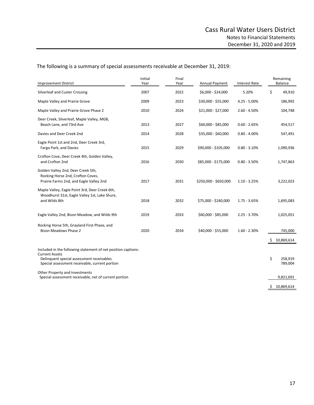The following is a summary of special assessments receivable at December 31, 2019:

| Improvement District                                                                                                                                                                  | Initial<br>Year | Final<br>Year | Annual Payment        | <b>Interest Rate</b> | Remaining<br>Balance     |
|---------------------------------------------------------------------------------------------------------------------------------------------------------------------------------------|-----------------|---------------|-----------------------|----------------------|--------------------------|
| <b>Silverleaf and Custer Crossing</b>                                                                                                                                                 | 2007            | 2022          | \$6,000 - \$24,000    | 5.20%                | \$<br>49,910             |
| Maple Valley and Prairie Grove                                                                                                                                                        | 2009            | 2023          | \$30,000 - \$55,000   | $4.25 - 5.00\%$      | 186,992                  |
| Maple Valley and Prairie Grove Phase 2                                                                                                                                                | 2010            | 2024          | \$21,000 - \$27,000   | $2.60 - 4.50%$       | 104,748                  |
| Deer Creek, Silverleaf, Maple Valley, MGB,<br>Beach Lane, and 73rd Ave                                                                                                                | 2013            | 2027          | \$60,000 - \$85,000   | $0.60 - 2.65%$       | 454,517                  |
| Davies and Deer Creek 2nd                                                                                                                                                             | 2014            | 2028          | \$35,000 - \$60,000   | $0.80 - 4.00\%$      | 547,491                  |
| Eagle Point 1st and 2nd, Deer Creek 3rd,<br>Fargo Park, and Davies                                                                                                                    | 2015            | 2029          | \$90,000 - \$105,000  | $0.80 - 3.10%$       | 1,090,936                |
| Crofton Cove, Deer Creek 4th, Golden Valley,<br>and Crofton 2nd                                                                                                                       | 2016            | 2030          | \$85,000 - \$175,000  | $0.80 - 3.50%$       | 1,747,863                |
| Golden Valley 2nd, Deer Creek 5th,<br>Rocking Horse 2nd, Crofton Coves,<br>Prairie Farms 2nd, and Eagle Valley 2nd                                                                    | 2017            | 2031          | \$250,000 - \$650,000 | $1.10 - 3.25%$       | 3,222,023                |
| Maple Valley, Eagle Point 3rd, Deer Creek 6th,<br>Woodhurst 31st, Eagle Valley 1st, Lake Shure,<br>and Wilds 8th                                                                      | 2018            | 2032          | \$75,000 - \$240,000  | $1.75 - 3.65%$       | 1,695,083                |
| Eagle Valley 2nd, Bison Meadow, and Wilds 9th                                                                                                                                         | 2019            | 2033          | \$60,000 - \$85,000   | $2.25 - 3.70%$       | 1,025,051                |
| Rocking Horse 5th, Grayland First Phase, and<br><b>Bison Meadows Phase 2</b>                                                                                                          | 2020            | 2034          | \$40,000 - \$55,000   | $1.60 - 2.30%$       | 745,000                  |
|                                                                                                                                                                                       |                 |               |                       |                      | 10,869,614               |
| Included in the following statement of net position captions:<br><b>Current Assets</b><br>Delinquent special assessment receivables<br>Special assessment receivable, current portion |                 |               |                       |                      | \$<br>258,919<br>789,004 |
| Other Property and Investments<br>Special assessment receivable, net of current portion                                                                                               |                 |               |                       |                      | 9,821,691                |
|                                                                                                                                                                                       |                 |               |                       |                      | \$<br>10,869,614         |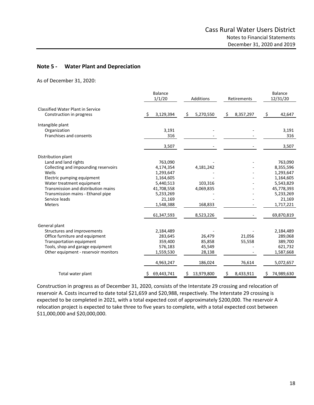## **Note 5 ‐ Water Plant and Depreciation**

As of December 31, 2020:

|                                                                      | Balance<br>1/1/20<br>Additions |                  | Retirements     | <b>Balance</b><br>12/31/20 |
|----------------------------------------------------------------------|--------------------------------|------------------|-----------------|----------------------------|
| <b>Classified Water Plant in Service</b><br>Construction in progress | 3,129,394                      | \$<br>5,270,550  | \$<br>8,357,297 | \$<br>42,647               |
| Intangible plant                                                     |                                |                  |                 |                            |
| Organization                                                         | 3,191                          |                  |                 | 3,191                      |
| Franchises and consents                                              | 316                            |                  |                 | 316                        |
|                                                                      | 3,507                          |                  |                 | 3,507                      |
| Distribution plant                                                   |                                |                  |                 |                            |
| Land and land rights                                                 | 763,090                        |                  |                 | 763,090                    |
| Collecting and impounding reservoirs                                 | 4,174,354                      | 4,181,242        |                 | 8,355,596                  |
| Wells                                                                | 1,293,647                      |                  |                 | 1,293,647                  |
| Electric pumping equipment                                           | 1,164,605                      |                  |                 | 1,164,605                  |
| Water treatment equipment                                            | 5,440,513                      | 103,316          |                 | 5,543,829                  |
| Transmission and distribution mains                                  | 41,708,558                     | 4,069,835        |                 | 45,778,393                 |
| Transmission mains - Ethanol pipe                                    | 5,233,269                      |                  |                 | 5,233,269                  |
| Service leads<br><b>Meters</b>                                       | 21,169<br>1,548,388            | 168,833          |                 | 21,169<br>1,717,221        |
|                                                                      | 61,347,593                     | 8,523,226        |                 | 69,870,819                 |
| General plant                                                        |                                |                  |                 |                            |
| Structures and improvements                                          | 2,184,489                      |                  |                 | 2,184,489                  |
| Office furniture and equipment                                       | 283,645                        | 26,479           | 21,056          | 289,068                    |
| Transportation equipment                                             | 359,400                        | 85,858           | 55,558          | 389,700                    |
| Tools, shop and garage equipment                                     | 576,183                        | 45,549           |                 | 621,732                    |
| Other equipment - reservoir monitors                                 | 1,559,530                      | 28,138           |                 | 1,587,668                  |
|                                                                      | 4,963,247                      | 186,024          | 76,614          | 5,072,657                  |
| Total water plant                                                    | 69,443,741                     | 13,979,800<br>\$ | \$<br>8,433,911 | 74,989,630<br>S            |

Construction in progress as of December 31, 2020, consists of the Interstate 29 crossing and relocation of reservoir A. Costs incurred to date total \$21,659 and \$20,988, respectively. The Interstate 29 crossing is expected to be completed in 2021, with a total expected cost of approximately \$200,000. The reservoir A relocation project is expected to take three to five years to complete, with a total expected cost between \$11,000,000 and \$20,000,000.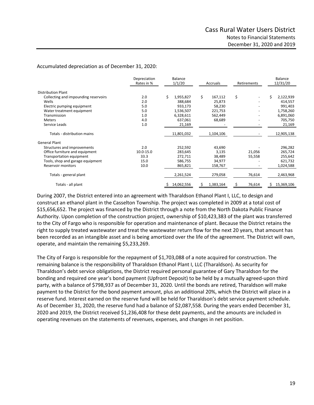Accumulated depreciation as of December 31, 2020:

|                                      |           | <b>Balance</b><br>Depreciation<br>1/1/20<br>Rates in % |                | Retirements  | Balance<br>12/31/20 |  |
|--------------------------------------|-----------|--------------------------------------------------------|----------------|--------------|---------------------|--|
| <b>Distribution Plant</b>            |           |                                                        |                |              |                     |  |
| Collecting and impounding reservoirs | 2.0       | \$<br>1,955,827                                        | Ś.<br>167,112  | \$           | Ś<br>2,122,939      |  |
| Wells                                | 2.0       | 388,684                                                | 25,873         |              | 414,557             |  |
| Electric pumping equipment           | 5.0       | 933,173                                                | 58,230         |              | 991,403             |  |
| Water treatment equipment            | 5.0       | 1,536,507                                              | 221,753        |              | 1,758,260           |  |
| Transmission                         | 1.0       | 6,328,611                                              | 562,449        |              | 6,891,060           |  |
| Meters                               | 4.0       | 637,061                                                | 68,689         |              | 705,750             |  |
| Service Leads                        | 1.0       | 21,169                                                 |                |              | 21,169              |  |
| Totals - distribution mains          |           | 11,801,032                                             | 1,104,106      |              | 12,905,138          |  |
| <b>General Plant</b>                 |           |                                                        |                |              |                     |  |
| Structures and improvements          | 2.0       | 252,592                                                | 43,690         |              | 296,282             |  |
| Office furniture and equipment       | 10.0-15.0 | 283,645                                                | 3,135          | 21,056       | 265,724             |  |
| Transportation equipment             | 33.3      | 272,711                                                | 38,489         | 55,558       | 255,642             |  |
| Tools, shop and garage equipment     | 15.0      | 586,755                                                | 34,977         |              | 621,732             |  |
| <b>Reservoir monitors</b>            | 10.0      | 865,821                                                | 158,767        |              | 1,024,588           |  |
| Totals - general plant               |           | 2,261,524                                              | 279,058        | 76,614       | 2,463,968           |  |
| Totals - all plant                   |           | \$<br>14,062,556                                       | 1,383,164<br>Ś | \$<br>76,614 | 15,369,106<br>\$    |  |

During 2007, the District entered into an agreement with Tharaldson Ethanol Plant I, LLC, to design and construct an ethanol plant in the Casselton Township. The project was completed in 2009 at a total cost of \$15,656,652. The project was financed by the District through a note from the North Dakota Public Finance Authority. Upon completion of the construction project, ownership of \$10,423,383 of the plant was transferred to the City of Fargo who is responsible for operation and maintenance of plant. Because the District retains the right to supply treated wastewater and treat the wastewater return flow for the next 20 years, that amount has been recorded as an intangible asset and is being amortized over the life of the agreement. The District will own, operate, and maintain the remaining \$5,233,269.

The City of Fargo is responsible for the repayment of \$1,703,088 of a note acquired for construction. The remaining balance is the responsibility of Tharaldson Ethanol Plant I, LLC (Tharaldson). As security for Tharaldson's debt service obligations, the District required personal guarantee of Gary Tharaldson for the bonding and required one year's bond payment (Upfront Deposit) to be held by a mutually agreed‐upon third party, with a balance of \$798,937 as of December 31, 2020. Until the bonds are retired, Tharaldson will make payment to the District for the bond payment amount, plus an additional 20%, which the District will place in a reserve fund. Interest earned on the reserve fund will be held for Tharaldson's debt service payment schedule. As of December 31, 2020, the reserve fund had a balance of \$2,087,558. During the years ended December 31, 2020 and 2019, the District received \$1,236,408 for these debt payments, and the amounts are included in operating revenues on the statements of revenues, expenses, and changes in net position.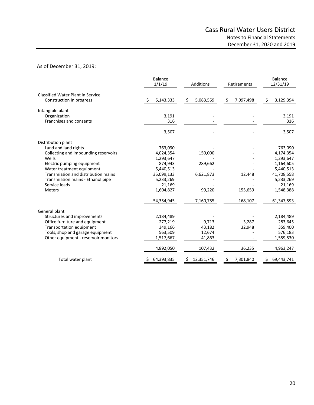#### As of December 31, 2019:

|                                          | Balance<br>1/1/19 | Additions        | Retirements     | <b>Balance</b><br>12/31/19 |  |
|------------------------------------------|-------------------|------------------|-----------------|----------------------------|--|
| <b>Classified Water Plant in Service</b> |                   |                  |                 |                            |  |
| Construction in progress                 | Ŝ.<br>5,143,333   | \$<br>5,083,559  | \$<br>7,097,498 | \$<br>3,129,394            |  |
| Intangible plant                         |                   |                  |                 |                            |  |
| Organization                             | 3,191             |                  |                 | 3,191                      |  |
| Franchises and consents                  | 316               |                  |                 | 316                        |  |
|                                          | 3,507             |                  |                 | 3,507                      |  |
| Distribution plant                       |                   |                  |                 |                            |  |
| Land and land rights                     | 763,090           |                  |                 | 763,090                    |  |
| Collecting and impounding reservoirs     | 4,024,354         | 150,000          |                 | 4,174,354                  |  |
| Wells                                    | 1,293,647         |                  |                 | 1,293,647                  |  |
| Electric pumping equipment               | 874,943           | 289,662          |                 | 1,164,605                  |  |
| Water treatment equipment                | 5,440,513         |                  |                 | 5,440,513                  |  |
| Transmission and distribution mains      | 35,099,133        | 6,621,873        | 12,448          | 41,708,558                 |  |
| Transmission mains - Ethanol pipe        | 5,233,269         |                  |                 | 5,233,269                  |  |
| Service leads                            | 21,169            |                  |                 | 21,169                     |  |
| <b>Meters</b>                            | 1,604,827         | 99,220           | 155,659         | 1,548,388                  |  |
|                                          | 54,354,945        | 7,160,755        | 168,107         | 61,347,593                 |  |
| General plant                            |                   |                  |                 |                            |  |
| Structures and improvements              | 2,184,489         |                  |                 | 2,184,489                  |  |
| Office furniture and equipment           | 277,219           | 9,713            | 3,287           | 283,645                    |  |
| Transportation equipment                 | 349,166           | 43,182           | 32,948          | 359,400                    |  |
| Tools, shop and garage equipment         | 563,509           | 12,674           |                 | 576,183                    |  |
| Other equipment - reservoir monitors     | 1,517,667         | 41,863           |                 | 1,559,530                  |  |
|                                          | 4,892,050         | 107,432          | 36,235          | 4,963,247                  |  |
| Total water plant                        | 64,393,835        | 12,351,746<br>\$ | 7,301,840<br>\$ | 69,443,741                 |  |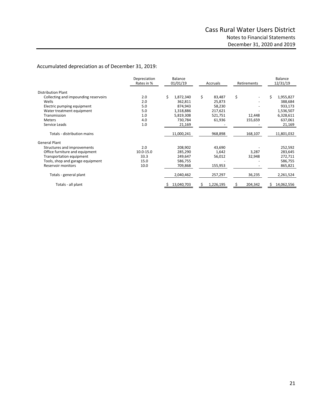# Accumulated depreciation as of December 31, 2019:

|                                      | Depreciation<br>Rates in % | Balance<br>01/01/19 | Accruals    | Retirements | <b>Balance</b><br>12/31/19 |  |
|--------------------------------------|----------------------------|---------------------|-------------|-------------|----------------------------|--|
| <b>Distribution Plant</b>            |                            |                     |             |             |                            |  |
| Collecting and impounding reservoirs | 2.0                        | Ś<br>1,872,340      | Ś<br>83,487 | \$          | Ś<br>1,955,827             |  |
| Wells                                | 2.0                        | 362,811             | 25,873      |             | 388,684                    |  |
| Electric pumping equipment           | 5.0                        | 874,943             | 58,230      |             | 933,173                    |  |
| Water treatment equipment            | 5.0                        | 1,318,886           | 217,621     |             | 1,536,507                  |  |
| Transmission                         | 1.0                        | 5,819,308           | 521,751     | 12,448      | 6,328,611                  |  |
| <b>Meters</b>                        | 4.0                        | 730,784             | 61,936      | 155,659     | 637,061                    |  |
| Service Leads                        | 1.0                        | 21,169              |             |             | 21,169                     |  |
| Totals - distribution mains          |                            | 11,000,241          | 968,898     | 168,107     | 11,801,032                 |  |
| <b>General Plant</b>                 |                            |                     |             |             |                            |  |
| Structures and improvements          | 2.0                        | 208,902             | 43,690      |             | 252,592                    |  |
| Office furniture and equipment       | 10.0-15.0                  | 285,290             | 1,642       | 3,287       | 283,645                    |  |
| Transportation equipment             | 33.3                       | 249,647             | 56,012      | 32,948      | 272,711                    |  |
| Tools, shop and garage equipment     | 15.0                       | 586,755             |             |             | 586,755                    |  |
| <b>Reservoir monitors</b>            | 10.0                       | 709,868             | 155,953     |             | 865,821                    |  |
| Totals - general plant               |                            | 2,040,462           | 257,297     | 36,235      | 2,261,524                  |  |
| Totals - all plant                   |                            | 13,040,703          | 1,226,195   | 204,342     | 14,062,556                 |  |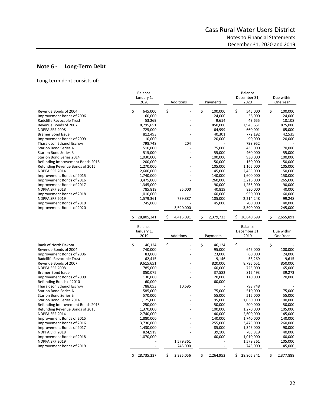# **Note 6 ‐ Long‐Term Debt**

Long term debt consists of:

|                                                      | <b>Balance</b><br>January 1,<br>2020 | Additions       | Payments         | <b>Balance</b><br>December 31,<br>2020 | Due within<br>One Year |
|------------------------------------------------------|--------------------------------------|-----------------|------------------|----------------------------------------|------------------------|
| Revenue Bonds of 2004                                | \$<br>645,000                        | \$              | \$<br>100,000    | \$<br>545,000                          | \$<br>100,000          |
| Improvement Bonds of 2006                            | 60,000                               |                 | 24,000           | 36,000                                 | 24,000                 |
| Radcliffe Revocable Trust                            | 53,269                               |                 | 9,614            | 43,655                                 | 10,108                 |
| Revenue Bonds of 2007                                | 8,795,651                            |                 | 850,000          | 7,945,651                              | 875,000                |
| NDPFA SRF 2008                                       | 725,000                              |                 | 64,999           | 660,001                                | 65,000                 |
| <b>Bremer Bond Issue</b>                             | 812,493                              |                 | 40,301           | 772,192                                | 42,535                 |
| Improvement Bonds of 2009                            | 110,000                              |                 | 20,000           | 90,000                                 | 20,000                 |
| <b>Tharaldson Ethanol Escrow</b>                     | 798,748                              | 204             |                  | 798,952                                |                        |
| <b>Starion Bond Series A</b>                         | 510,000                              |                 | 75,000           | 435,000                                | 70,000                 |
| <b>Starion Bond Series B</b>                         | 515,000                              |                 | 55,000           | 460,000                                | 55,000                 |
| <b>Starion Bond Series 2014</b>                      | 1,030,000                            |                 | 100,000          | 930,000                                | 100,000                |
| Refunding Improvement Bonds 2015                     | 200,000                              |                 | 50,000           | 150,000                                | 50,000                 |
| Refunding Revenue Bonds of 2015                      | 1,270,000                            |                 | 105,000          | 1,165,000                              | 105,000                |
| NDPFA SRF 2014                                       | 2,600,000                            |                 | 145,000          | 2,455,000                              | 150,000                |
| Improvement Bonds of 2015                            | 1,740,000                            |                 | 140,000          | 1,600,000                              | 150,000                |
| Improvement Bonds of 2016                            | 3,475,000                            |                 | 260,000          | 3,215,000                              | 265,000                |
| Improvement Bonds of 2017                            | 1,345,000                            |                 | 90,000           | 1,255,000                              | 90,000                 |
| NDPFA SRF 2018                                       | 785,819                              | 85,000          | 40,819           | 830,000                                | 40,000                 |
| Improvement Bonds of 2018                            | 1,010,000                            |                 | 60,000           | 950,000                                | 60,000                 |
| NDPFA SRF 2019                                       | 1,579,361                            | 739,887         | 105,000          | 2,214,248                              | 99,248                 |
| Improvement Bonds of 2019                            | 745,000                              |                 | 45,000           | 700,000                                | 40,000                 |
| Improvement Bonds of 2020                            |                                      | 3,590,000       |                  | 3,590,000                              | 245,000                |
|                                                      | 28,805,341<br>S                      | \$<br>4,415,091 | 2,379,733<br>\$  | \$.<br>30,840,699                      | \$<br>2,655,891        |
|                                                      | <b>Balance</b><br>January 1,<br>2019 | Additions       | Payments         | <b>Balance</b><br>December 31,<br>2019 | Due within<br>One Year |
|                                                      |                                      |                 |                  |                                        |                        |
| Bank of North Dakota                                 | \$<br>46,124                         | \$              | \$<br>46,124     | \$                                     | \$                     |
| Revenue Bonds of 2004                                | 740,000                              |                 | 95,000           | 645,000                                | 100,000                |
| Improvement Bonds of 2006                            | 83,000                               |                 | 23,000           | 60,000                                 | 24,000                 |
| Radcliffe Revocable Trust                            | 62,415                               |                 | 9,146            | 53,269                                 | 9,615                  |
| Revenue Bonds of 2007                                | 9,615,651                            |                 | 820,000          | 8,795,651                              | 850,000                |
| NDPFA SRF 2008                                       | 785,000                              |                 | 60,000           | 725,000                                | 65,000                 |
| <b>Bremer Bond Issue</b>                             | 850,075                              |                 | 37,582           | 812,493                                | 39,273                 |
| Improvement Bonds of 2009<br>Refunding Bonds of 2010 | 130,000<br>60,000                    |                 | 20,000<br>60,000 | 110,000                                | 20,000                 |
| <b>Tharaldson Ethanol Escrow</b>                     | 788,053                              | 10,695          |                  | 798,748                                |                        |
| <b>Starion Bond Series A</b>                         | 585,000                              |                 | 75,000           | 510,000                                | 75,000                 |
| <b>Starion Bond Series B</b>                         | 570,000                              |                 | 55,000           | 515,000                                | 55,000                 |
| <b>Starion Bond Series 2014</b>                      | 1,125,000                            |                 | 95,000           | 1,030,000                              | 100,000                |
| Refunding Improvement Bonds 2015                     | 250,000                              |                 | 50,000           | 200,000                                | 50,000                 |
| Refunding Revenue Bonds of 2015                      | 1,370,000                            |                 | 100,000          | 1,270,000                              | 105,000                |
| NDPFA SRF 2014                                       | 2,740,000                            |                 | 140,000          | 2,600,000                              | 145,000                |
| Improvement Bonds of 2015                            | 1,880,000                            |                 | 140,000          | 1,740,000                              | 140,000                |
| Improvement Bonds of 2016                            | 3,730,000                            |                 | 255,000          | 3,475,000                              | 260,000                |
| Improvement Bonds of 2017                            | 1,430,000                            |                 | 85,000           | 1,345,000                              | 90,000                 |
| NDPFA SRF 2018                                       | 824,919                              |                 | 39,100           | 785,819                                | 40,000                 |
| Improvement Bonds of 2018                            | 1,070,000                            |                 | 60,000           | 1,010,000                              | 60,000                 |
| NDPFA SRF 2019                                       |                                      | 1,579,361       |                  | 1,579,361                              | 105,000                |
| Improvement Bonds of 2019                            |                                      | 745,000         |                  | 745,000                                | 45,000                 |
|                                                      |                                      |                 |                  |                                        |                        |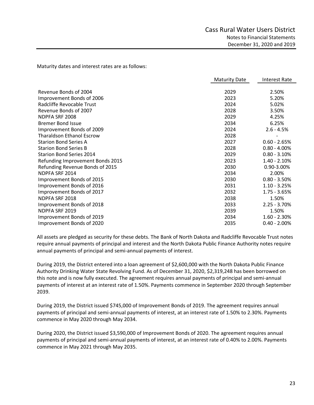Maturity dates and interest rates are as follows:

|                                  | <b>Maturity Date</b> | <b>Interest Rate</b> |
|----------------------------------|----------------------|----------------------|
|                                  |                      |                      |
| Revenue Bonds of 2004            | 2029                 | 2.50%                |
| Improvement Bonds of 2006        | 2023                 | 5.20%                |
| Radcliffe Revocable Trust        | 2024                 | 5.02%                |
| Revenue Bonds of 2007            | 2028                 | 3.50%                |
| NDPFA SRF 2008                   | 2029                 | 4.25%                |
| <b>Bremer Bond Issue</b>         | 2034                 | 6.25%                |
| Improvement Bonds of 2009        | 2024                 | $2.6 - 4.5%$         |
| <b>Tharaldson Ethanol Escrow</b> | 2028                 |                      |
| <b>Starion Bond Series A</b>     | 2027                 | $0.60 - 2.65%$       |
| <b>Starion Bond Series B</b>     | 2028                 | $0.80 - 4.00\%$      |
| <b>Starion Bond Series 2014</b>  | 2029                 | $0.80 - 3.10%$       |
| Refunding Improvement Bonds 2015 | 2023                 | $1.40 - 2.10%$       |
| Refunding Revenue Bonds of 2015  | 2030                 | 0.90-3.00%           |
| NDPFA SRF 2014                   | 2034                 | 2.00%                |
| Improvement Bonds of 2015        | 2030                 | $0.80 - 3.50\%$      |
| Improvement Bonds of 2016        | 2031                 | $1.10 - 3.25%$       |
| Improvement Bonds of 2017        | 2032                 | $1.75 - 3.65%$       |
| NDPFA SRF 2018                   | 2038                 | 1.50%                |
| Improvement Bonds of 2018        | 2033                 | $2.25 - 3.70%$       |
| NDPFA SRF 2019                   | 2039                 | 1.50%                |
| Improvement Bonds of 2019        | 2034                 | $1.60 - 2.30%$       |
| Improvement Bonds of 2020        | 2035                 | $0.40 - 2.00\%$      |

All assets are pledged as security for these debts. The Bank of North Dakota and Radcliffe Revocable Trust notes require annual payments of principal and interest and the North Dakota Public Finance Authority notes require annual payments of principal and semi‐annual payments of interest.

During 2019, the District entered into a loan agreement of \$2,600,000 with the North Dakota Public Finance Authority Drinking Water State Revolving Fund. As of December 31, 2020, \$2,319,248 has been borrowed on this note and is now fully executed. The agreement requires annual payments of principal and semi‐annual payments of interest at an interest rate of 1.50%. Payments commence in September 2020 through September 2039.

During 2019, the District issued \$745,000 of Improvement Bonds of 2019. The agreement requires annual payments of principal and semi‐annual payments of interest, at an interest rate of 1.50% to 2.30%. Payments commence in May 2020 through May 2034.

During 2020, the District issued \$3,590,000 of Improvement Bonds of 2020. The agreement requires annual payments of principal and semi‐annual payments of interest, at an interest rate of 0.40% to 2.00%. Payments commence in May 2021 through May 2035.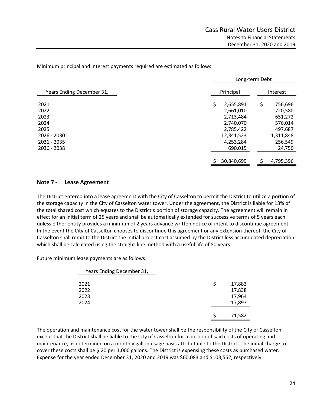Minimum principal and interest payments required are estimated as follows:

|                           | Long-term Debt |            |    |           |  |  |
|---------------------------|----------------|------------|----|-----------|--|--|
| Years Ending December 31, |                | Principal  |    | Interest  |  |  |
| 2021                      | \$             | 2,655,891  | \$ | 756,696   |  |  |
| 2022                      |                | 2,661,010  |    | 720,580   |  |  |
| 2023                      |                | 2,713,484  |    | 651,272   |  |  |
| 2024                      |                | 2,740,070  |    | 576,014   |  |  |
| 2025                      |                | 2,785,422  |    | 497,687   |  |  |
| 2026 - 2030               |                | 12,341,523 |    | 1,311,848 |  |  |
| 2031 - 2035               |                | 4,253,284  |    | 256,549   |  |  |
| 2036 - 2038               |                | 690,015    |    | 24,750    |  |  |
|                           |                | 30,840,699 | \$ | 4,795,396 |  |  |

## **Note 7 ‐ Lease Agreement**

The District entered into a lease agreement with the City of Casselton to permit the District to utilize a portion of the storage capacity in the City of Casselton water tower. Under the agreement, the District is liable for 18% of the total shared cost which equates to the District's portion of storage capacity. The agreement will remain in effect for an initial term of 25 years and shall be automatically extended for successive terms of 5 years each unless either entity provides a minimum of 2 years advance written notice of intent to discontinue agreement. In the event the City of Casselton chooses to discontinue this agreement or any extension thereof, the City of Casselton shall remit to the District the initial project cost assumed by the District less accumulated depreciation which shall be calculated using the straight-line method with a useful life of 80 years.

Future minimum lease payments are as follows:

| Years Ending December 31,    |                                      |
|------------------------------|--------------------------------------|
| 2021<br>2022<br>2023<br>2024 | 17,883<br>17,838<br>17,964<br>17,897 |
|                              | 71,582                               |

The operation and maintenance cost for the water tower shall be the responsibility of the City of Casselton, except that the District shall be liable to the City of Casselton for a portion of said costs of operating and maintenance, as determined on a monthly gallon usage basis attributable to the District. The initial charge to cover these costs shall be \$.20 per 1,000 gallons. The District is expensing these costs as purchased water. Expense for the year ended December 31, 2020 and 2019 was \$60,083 and \$103,552, respectively.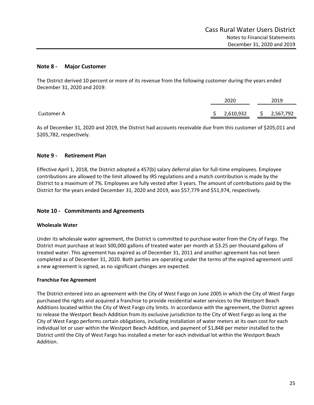# **Note 8 ‐ Major Customer**

The District derived 10 percent or more of its revenue from the following customer during the years ended December 31, 2020 and 2019:

|            | 2020        | 2019        |  |  |
|------------|-------------|-------------|--|--|
| Customer A | \$2,610,932 | \$2,567,792 |  |  |

As of December 31, 2020 and 2019, the District had accounts receivable due from this customer of \$205,011 and \$205,782, respectively.

# **Note 9 ‐ Retirement Plan**

Effective April 1, 2018, the District adopted a 457(b) salary deferral plan for full‐time employees. Employee contributions are allowed to the limit allowed by IRS regulations and a match contribution is made by the District to a maximum of 7%. Employees are fully vested after 3 years. The amount of contributions paid by the District for the years ended December 31, 2020 and 2019, was \$57,779 and \$51,974, respectively.

## **Note 10 ‐ Commitments and Agreements**

## **Wholesale Water**

Under its wholesale water agreement, the District is committed to purchase water from the City of Fargo. The District must purchase at least 500,000 gallons of treated water per month at \$3.25 per thousand gallons of treated water. This agreement has expired as of December 31, 2011 and another agreement has not been completed as of December 31, 2020. Both parties are operating under the terms of the expired agreement until a new agreement is signed, as no significant changes are expected.

## **Franchise Fee Agreement**

The District entered into an agreement with the City of West Fargo on June 2005 in which the City of West Fargo purchased the rights and acquired a franchise to provide residential water services to the Westport Beach Additions located within the City of West Fargo city limits. In accordance with the agreement, the District agrees to release the Westport Beach Addition from its exclusive jurisdiction to the City of West Fargo as long as the City of West Fargo performs certain obligations, including installation of water meters at its own cost for each individual lot or user within the Westport Beach Addition, and payment of \$1,848 per meter installed to the District until the City of West Fargo has installed a meter for each individual lot within the Westport Beach Addition.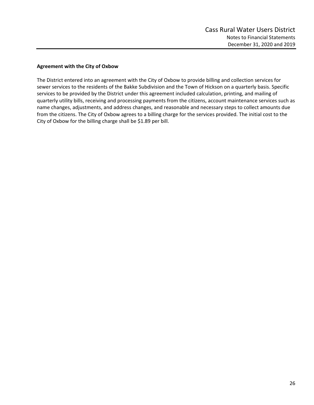# **Agreement with the City of Oxbow**

The District entered into an agreement with the City of Oxbow to provide billing and collection services for sewer services to the residents of the Bakke Subdivision and the Town of Hickson on a quarterly basis. Specific services to be provided by the District under this agreement included calculation, printing, and mailing of quarterly utility bills, receiving and processing payments from the citizens, account maintenance services such as name changes, adjustments, and address changes, and reasonable and necessary steps to collect amounts due from the citizens. The City of Oxbow agrees to a billing charge for the services provided. The initial cost to the City of Oxbow for the billing charge shall be \$1.89 per bill.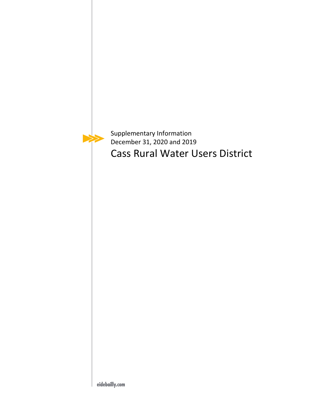

Supplementary Information December 31, 2020 and 2019 Cass Rural Water Users District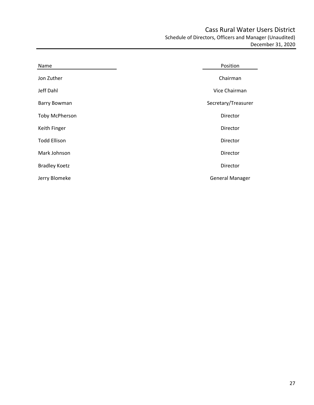Cass Rural Water Users District Schedule of Directors, Officers and Manager (Unaudited) December 31, 2020

| Name                 | Position               |
|----------------------|------------------------|
| Jon Zuther           | Chairman               |
| Jeff Dahl            | Vice Chairman          |
| <b>Barry Bowman</b>  | Secretary/Treasurer    |
| Toby McPherson       | Director               |
| Keith Finger         | Director               |
| <b>Todd Ellison</b>  | Director               |
| Mark Johnson         | Director               |
| <b>Bradley Koetz</b> | Director               |
| Jerry Blomeke        | <b>General Manager</b> |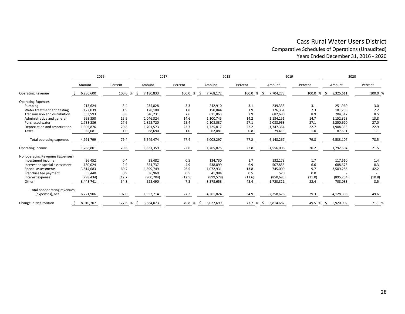# Cass Rural Water Users District Comparative Schedules of Operations (Unaudited) Years Ended December 31, 2016 ‐ 2020

|                                  | 2016       |         | 2017              |         | 2018              |         | 2019             |         | 2020              |         |
|----------------------------------|------------|---------|-------------------|---------|-------------------|---------|------------------|---------|-------------------|---------|
|                                  | Amount     | Percent | Amount            | Percent | Amount            | Percent | Amount           | Percent | Amount            | Percent |
| <b>Operating Revenue</b>         | 6,280,600  | 100.0 % | 7,180,833<br>- \$ | 100.0 % | 7,768,172<br>- \$ | 100.0 % | 7,704,273<br>-\$ | 100.0 % | 8,325,611<br>- \$ | 100.0 % |
| <b>Operating Expenses</b>        |            |         |                   |         |                   |         |                  |         |                   |         |
| Pumping                          | 213,624    | 3.4     | 235,828           | 3.3     | 242,910           | 3.1     | 239,335          | 3.1     | 251,960           | 3.0     |
| Water treatment and testing      | 122,039    | 1.9     | 128,108           | 1.8     | 150,844           | 1.9     | 176,361          | 2.3     | 181,758           | 2.2     |
| Transmission and distribution    | 553,593    | 8.8     | 546,231           | 7.6     | 611,863           | 7.9     | 682,680          | 8.9     | 704,517           | 8.5     |
| Administrative and general       | 998,350    | 15.9    | 1,046,324         | 14.6    | 1,100,745         | 14.2    | 1,134,151        | 14.7    | 1,152,328         | 13.8    |
| Purchased water                  | 1,733,236  | 27.6    | 1,822,720         | 25.4    | 2,108,037         | 27.1    | 2,088,963        | 27.1    | 2,250,620         | 27.0    |
| Depreciation and amortization    | 1,305,876  | 20.8    | 1,701,573         | 23.7    | 1,725,817         | 22.2    | 1,747,364        | 22.7    | 1,904,333         | 22.9    |
| <b>Taxes</b>                     | 65,081     | 1.0     | 68,690            | 1.0     | 62,081            | 0.8     | 79,413           | 1.0     | 87,591            | 1.1     |
| Total operating expenses         | 4,991,799  | 79.4    | 5,549,474         | 77.4    | 6,002,297         | 77.2    | 6,148,267        | 79.8    | 6,533,107         | 78.5    |
| Operating Income                 | 1,288,801  | 20.6    | 1,631,359         | 22.6    | 1,765,875         | 22.8    | 1,556,006        | 20.2    | 1,792,504         | 21.5    |
| Nonoperating Revenues (Expenses) |            |         |                   |         |                   |         |                  |         |                   |         |
| Investment income                | 26,452     | 0.4     | 38,482            | 0.5     | 134,730           | 1.7     | 132,173          | 1.7     | 117,610           | 1.4     |
| Interest on special assessment   | 180,024    | 2.9     | 354,737           | 4.9     | 538,099           | 6.9     | 507,855          | 6.6     | 688,673           | 8.3     |
| Special assessments              | 3,814,683  | 60.7    | 1,899,749         | 26.5    | 1,072,931         | 13.8    | 745,000          | 9.7     | 3,509,286         | 42.2    |
| Franchise fee payment            | 55,440     | 0.9     | 36,960            | 0.5     | 41,984            | 0.5     | 520              | 0.0     |                   |         |
| Interest expense                 | (798, 434) | (12.7)  | (900, 704)        | (12.5)  | (899, 578)        | (11.6)  | (850, 693)       | (11.0)  | (895, 254)        | (10.8)  |
| Other                            | 3,443,741  | 54.8    | 523,490           | 7.3     | 3,373,658         | 43.4    | 1,723,821        | 22.4    | 708,083           | 8.5     |
| Total nonoperating revenues      |            |         |                   |         |                   |         |                  |         |                   |         |
| (expenses), net                  | 6,721,906  | 107.0   | 1,952,714         | 27.2    | 4,261,824         | 54.9    | 2,258,676        | 29.3    | 4,128,398         | 49.6    |
| Change in Net Position           | 8,010,707  | 127.6 % | 3,584,073<br>-S   | 49.8 %  | 6,027,699<br>-S   | 77.7 %  | 3,814,682<br>-S  | 49.5 %  | 5,920,902<br>-S   | 71.1 %  |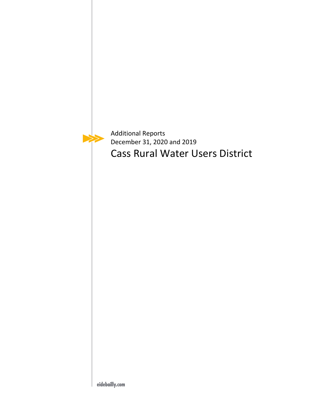$\blacktriangleright$ 

Additional Reports December 31, 2020 and 2019 Cass Rural Water Users District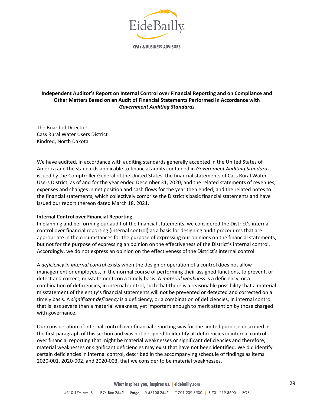

**CPAs & BUSINESS ADVISORS** 

# **Independent Auditor's Report on Internal Control over Financial Reporting and on Compliance and Other Matters Based on an Audit of Financial Statements Performed in Accordance with**  *Government Auditing Standards*

The Board of Directors Cass Rural Water Users District Kindred, North Dakota

We have audited, in accordance with auditing standards generally accepted in the United States of America and the standards applicable to financial audits contained in *Government Auditing Standards*, issued by the Comptroller General of the United States, the financial statements of Cass Rural Water Users District, as of and for the year ended December 31, 2020, and the related statements of revenues, expenses and changes in net position and cash flows for the year then ended, and the related notes to the financial statements, which collectively comprise the District's basic financial statements and have issued our report thereon dated March 18, 2021.

## **Internal Control over Financial Reporting**

In planning and performing our audit of the financial statements, we considered the District's internal control over financial reporting (internal control) as a basis for designing audit procedures that are appropriate in the circumstances for the purpose of expressing our opinions on the financial statements, but not for the purpose of expressing an opinion on the effectiveness of the District's internal control. Accordingly, we do not express an opinion on the effectiveness of the District's internal control.

A *deficiency in internal control* exists when the design or operation of a control does not allow management or employees, in the normal course of performing their assigned functions, to prevent, or detect and correct, misstatements on a timely basis. A *material weakness* is a deficiency, or a combination of deficiencies, in internal control, such that there is a reasonable possibility that a material misstatement of the entity's financial statements will not be prevented or detected and corrected on a timely basis. A *significant deficiency* is a deficiency, or a combination of deficiencies, in internal control that is less severe than a material weakness, yet important enough to merit attention by those charged with governance.

Our consideration of internal control over financial reporting was for the limited purpose described in the first paragraph of this section and was not designed to identify all deficiencies in internal control over financial reporting that might be material weaknesses or significant deficiencies and therefore, material weaknesses or significant deficiencies may exist that have not been identified. We did identify certain deficiencies in internal control, described in the accompanying schedule of findings as items 2020‐001, 2020‐002, and 2020‐003, that we consider to be material weaknesses.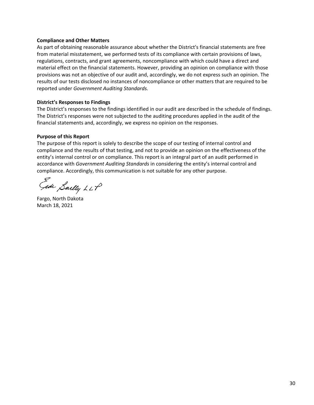#### **Compliance and Other Matters**

As part of obtaining reasonable assurance about whether the District's financial statements are free from material misstatement, we performed tests of its compliance with certain provisions of laws, regulations, contracts, and grant agreements, noncompliance with which could have a direct and material effect on the financial statements. However, providing an opinion on compliance with those provisions was not an objective of our audit and, accordingly, we do not express such an opinion. The results of our tests disclosed no instances of noncompliance or other matters that are required to be reported under *Government Auditing Standards.*

#### **District's Responses to Findings**

The District's responses to the findings identified in our audit are described in the schedule of findings. The District's responses were not subjected to the auditing procedures applied in the audit of the financial statements and, accordingly, we express no opinion on the responses.

#### **Purpose of this Report**

The purpose of this report is solely to describe the scope of our testing of internal control and compliance and the results of that testing, and not to provide an opinion on the effectiveness of the entity's internal control or on compliance. This report is an integral part of an audit performed in accordance with *Government Auditing Standards* in considering the entity's internal control and compliance. Accordingly, this communication is not suitable for any other purpose.

Ede Saelly LLP

Fargo, North Dakota March 18, 2021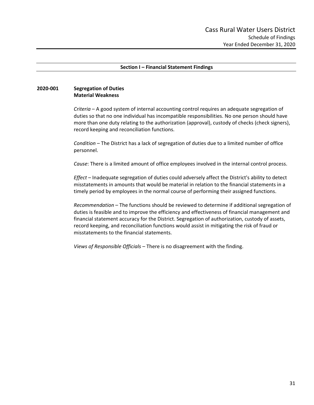#### **Section I – Financial Statement Findings**

# **2020‐001 Segregation of Duties Material Weakness**

*Criteria* – A good system of internal accounting control requires an adequate segregation of duties so that no one individual has incompatible responsibilities. No one person should have more than one duty relating to the authorization (approval), custody of checks (check signers), record keeping and reconciliation functions.

*Condition* – The District has a lack of segregation of duties due to a limited number of office personnel.

*Cause*: There is a limited amount of office employees involved in the internal control process.

*Effect* – Inadequate segregation of duties could adversely affect the District's ability to detect misstatements in amounts that would be material in relation to the financial statements in a timely period by employees in the normal course of performing their assigned functions.

*Recommendation* – The functions should be reviewed to determine if additional segregation of duties is feasible and to improve the efficiency and effectiveness of financial management and financial statement accuracy for the District. Segregation of authorization, custody of assets, record keeping, and reconciliation functions would assist in mitigating the risk of fraud or misstatements to the financial statements.

*Views of Responsible Officials* – There is no disagreement with the finding.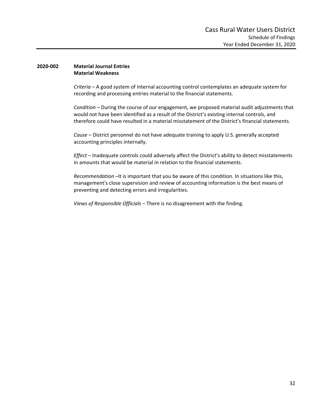#### **2020‐002 Material Journal Entries Material Weakness**

*Criteria* – A good system of internal accounting control contemplates an adequate system for recording and processing entries material to the financial statements.

*Condition* – During the course of our engagement, we proposed material audit adjustments that would not have been identified as a result of the District's existing internal controls, and therefore could have resulted in a material misstatement of the District's financial statements.

*Cause* – District personnel do not have adequate training to apply U.S. generally accepted accounting principles internally.

*Effect* – Inadequate controls could adversely affect the District's ability to detect misstatements in amounts that would be material in relation to the financial statements.

*Recommendation* –It is important that you be aware of this condition. In situations like this, management's close supervision and review of accounting information is the best means of preventing and detecting errors and irregularities.

*Views of Responsible Officials* – There is no disagreement with the finding.